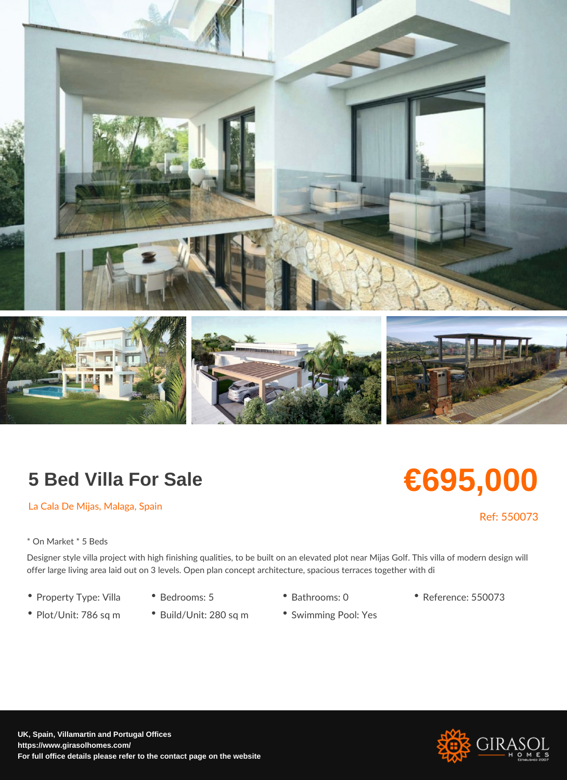## 5 Bed Villa For Sale

La Cala De Mijas, Malaga, Spain

\* On Market \* 5 Beds

Designer style villa project with high finishing qualities, to be built on an elevated plot offer large living area laid out on 3 levels. Open plan concept architecture, spacious te

- Property Type: VilBædrooms: 5 Bathrooms: 0 Reference: 550073
- Plot/Unit: 786 sq<sup>\*</sup> mBuild/Unit: 280 sq<sup>\*</sup> mSwimming Pool: Yes

# €695,000

### Ref: 550073